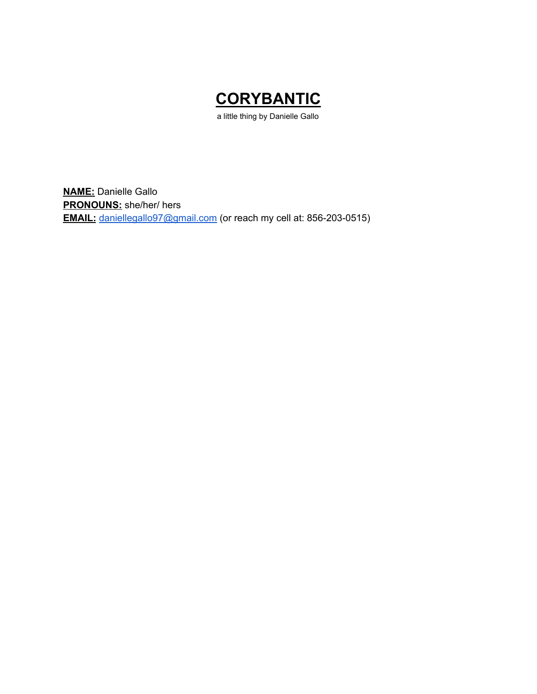

a little thing by Danielle Gallo

**NAME:** Danielle Gallo **PRONOUNS:** she/her/ hers **EMAIL:** [daniellegallo97@gmail.com](mailto:daniellegallo97@gmail.com) (or reach my cell at: 856-203-0515)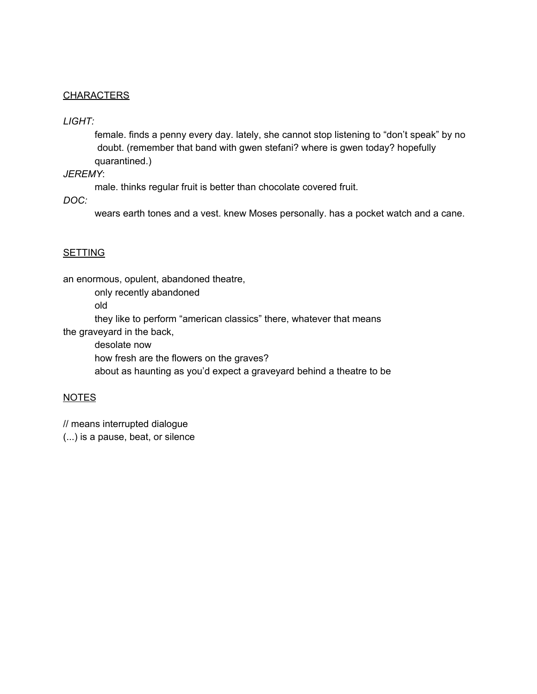### **CHARACTERS**

### *LIGHT:*

female. finds a penny every day. lately, she cannot stop listening to "don't speak" by no doubt. (remember that band with gwen stefani? where is gwen today? hopefully quarantined.)

### *JEREMY*:

male. thinks regular fruit is better than chocolate covered fruit.

*DOC:*

wears earth tones and a vest. knew Moses personally. has a pocket watch and a cane.

### SETTING

an enormous, opulent, abandoned theatre,

only recently abandoned

old

they like to perform "american classics" there, whatever that means the graveyard in the back,

desolate now

how fresh are the flowers on the graves?

about as haunting as you'd expect a graveyard behind a theatre to be

### NOTES

// means interrupted dialogue

(...) is a pause, beat, or silence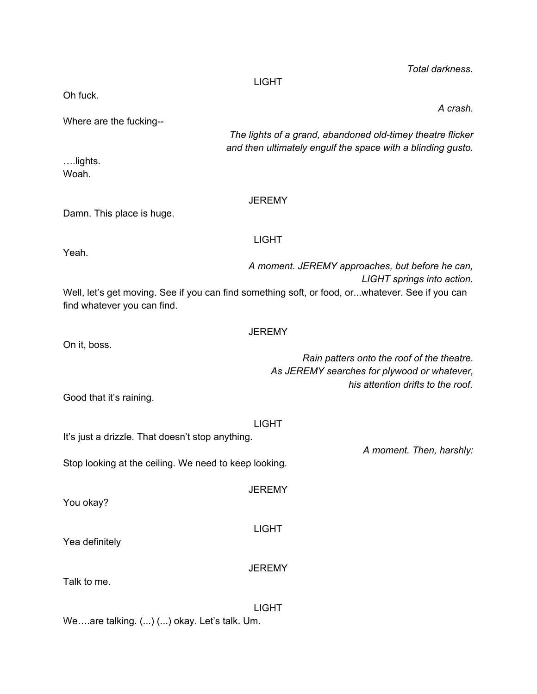|                                                                                                                                | <b>LIGHT</b>  |                                                                                                                                |
|--------------------------------------------------------------------------------------------------------------------------------|---------------|--------------------------------------------------------------------------------------------------------------------------------|
| Oh fuck.                                                                                                                       |               | A crash.                                                                                                                       |
| Where are the fucking--                                                                                                        |               | The lights of a grand, abandoned old-timey theatre flicker                                                                     |
| lights.<br>Woah.                                                                                                               |               | and then ultimately engulf the space with a blinding gusto.                                                                    |
| Damn. This place is huge.                                                                                                      | <b>JEREMY</b> |                                                                                                                                |
| Yeah.                                                                                                                          | <b>LIGHT</b>  |                                                                                                                                |
|                                                                                                                                |               | A moment. JEREMY approaches, but before he can,<br>LIGHT springs into action.                                                  |
| Well, let's get moving. See if you can find something soft, or food, orwhatever. See if you can<br>find whatever you can find. |               |                                                                                                                                |
| On it, boss.                                                                                                                   | <b>JEREMY</b> |                                                                                                                                |
|                                                                                                                                |               | Rain patters onto the roof of the theatre.<br>As JEREMY searches for plywood or whatever,<br>his attention drifts to the roof. |
| Good that it's raining.                                                                                                        |               |                                                                                                                                |
| It's just a drizzle. That doesn't stop anything.                                                                               | <b>LIGHT</b>  |                                                                                                                                |
| Stop looking at the ceiling. We need to keep looking.                                                                          |               | A moment. Then, harshly:                                                                                                       |
| You okay?                                                                                                                      | <b>JEREMY</b> |                                                                                                                                |
| Yea definitely                                                                                                                 | <b>LIGHT</b>  |                                                                                                                                |
| Talk to me.                                                                                                                    | <b>JEREMY</b> |                                                                                                                                |
| Weare talking. () () okay. Let's talk. Um.                                                                                     | <b>LIGHT</b>  |                                                                                                                                |

*Total darkness.*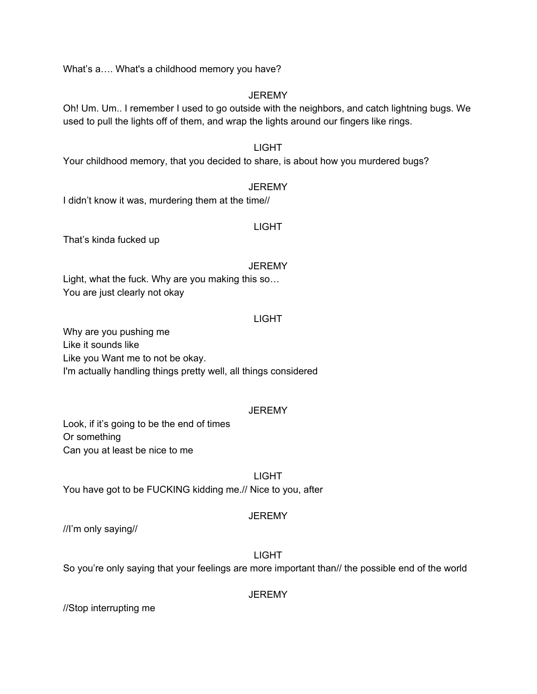What's a.... What's a childhood memory you have?

### **JEREMY**

Oh! Um. Um.. I remember I used to go outside with the neighbors, and catch lightning bugs. We used to pull the lights off of them, and wrap the lights around our fingers like rings.

# LIGHT

Your childhood memory, that you decided to share, is about how you murdered bugs?

### **JEREMY**

I didn't know it was, murdering them at the time//

### LIGHT

That's kinda fucked up

#### **JEREMY**

Light, what the fuck. Why are you making this so… You are just clearly not okay

#### LIGHT

Why are you pushing me Like it sounds like Like you Want me to not be okay. I'm actually handling things pretty well, all things considered

#### **JEREMY**

Look, if it's going to be the end of times Or something Can you at least be nice to me

LIGHT You have got to be FUCKING kidding me.// Nice to you, after

### **JEREMY**

//I'm only saying//

### LIGHT

So you're only saying that your feelings are more important than// the possible end of the world

#### **JEREMY**

//Stop interrupting me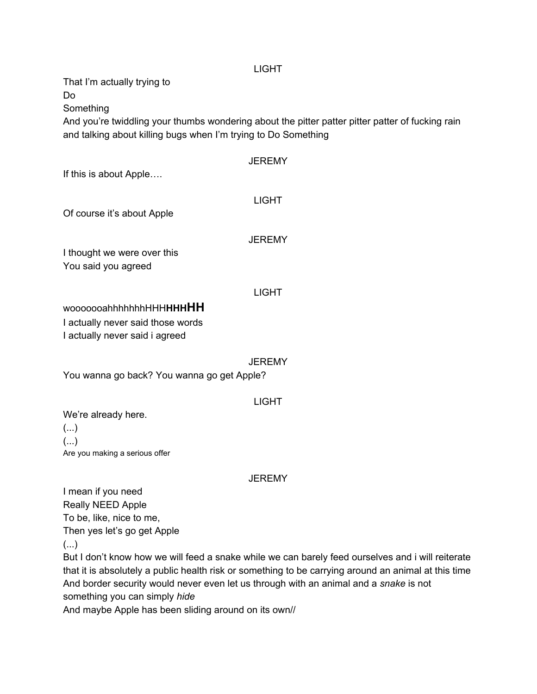#### LIGHT

That I'm actually trying to Do

Something

And you're twiddling your thumbs wondering about the pitter patter pitter patter of fucking rain and talking about killing bugs when I'm trying to Do Something

| If this is about Apple                                              | <b>JEREMY</b> |
|---------------------------------------------------------------------|---------------|
| Of course it's about Apple                                          | <b>LIGHT</b>  |
| I thought we were over this                                         | <b>JEREMY</b> |
| You said you agreed                                                 |               |
|                                                                     | <b>LIGHT</b>  |
| wooooooahhhhhhhHHHHHHHHH                                            |               |
| I actually never said those words<br>I actually never said i agreed |               |
| You wanna go back? You wanna go get Apple?                          | <b>JEREMY</b> |
|                                                                     | <b>LIGHT</b>  |
| We're already here.                                                 |               |
| ()                                                                  |               |
| $(\ldots)$                                                          |               |

#### **JEREMY**

I mean if you need Really NEED Apple To be, like, nice to me, Then yes let's go get Apple (...)

Are you making a serious offer

But I don't know how we will feed a snake while we can barely feed ourselves and i will reiterate that it is absolutely a public health risk or something to be carrying around an animal at this time And border security would never even let us through with an animal and a *snake* is not something you can simply *hide*

And maybe Apple has been sliding around on its own//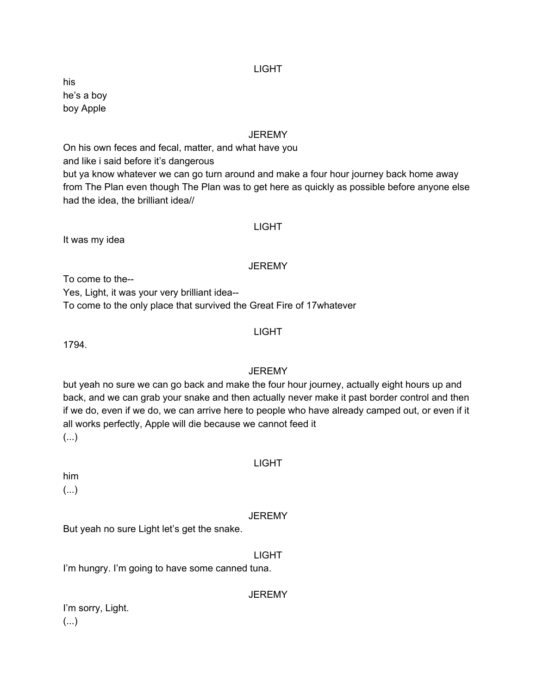#### LIGHT

his he's a boy boy Apple

#### **JEREMY**

On his own feces and fecal, matter, and what have you and like i said before it's dangerous but ya know whatever we can go turn around and make a four hour journey back home away from The Plan even though The Plan was to get here as quickly as possible before anyone else had the idea, the brilliant idea//

### LIGHT

It was my idea

#### **JEREMY**

To come to the--

Yes, Light, it was your very brilliant idea--

To come to the only place that survived the Great Fire of 17whatever

#### LIGHT

1794.

### **JEREMY**

but yeah no sure we can go back and make the four hour journey, actually eight hours up and back, and we can grab your snake and then actually never make it past border control and then if we do, even if we do, we can arrive here to people who have already camped out, or even if it all works perfectly, Apple will die because we cannot feed it (...)

him

(...)

#### **JEREMY**

LIGHT

But yeah no sure Light let's get the snake.

#### LIGHT

I'm hungry. I'm going to have some canned tuna.

**JEREMY** 

I'm sorry, Light. (...)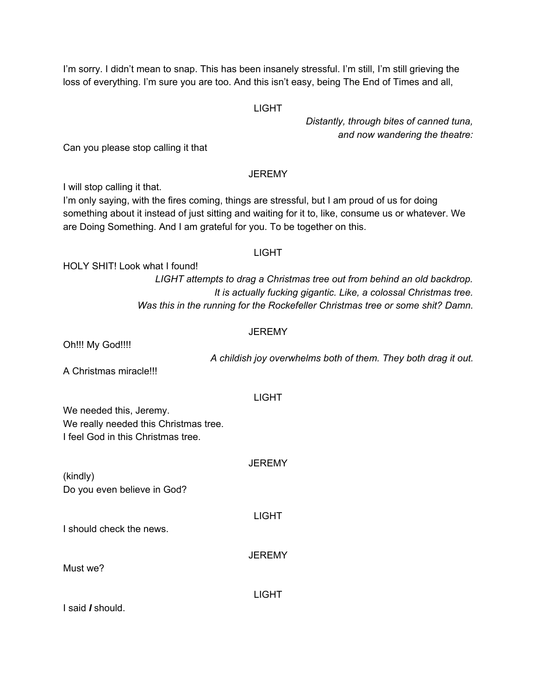I'm sorry. I didn't mean to snap. This has been insanely stressful. I'm still, I'm still grieving the loss of everything. I'm sure you are too. And this isn't easy, being The End of Times and all,

#### **LIGHT**

*Distantly, through bites of canned tuna, and now wandering the theatre:*

Can you please stop calling it that

### **JEREMY**

I will stop calling it that.

I'm only saying, with the fires coming, things are stressful, but I am proud of us for doing something about it instead of just sitting and waiting for it to, like, consume us or whatever. We are Doing Something. And I am grateful for you. To be together on this.

#### LIGHT

HOLY SHIT! Look what I found!

*LIGHT attempts to drag a Christmas tree out from behind an old backdrop. It is actually fucking gigantic. Like, a colossal Christmas tree. Was this in the running for the Rockefeller Christmas tree or some shit? Damn.*

### **JEREMY**

Oh!!! My God!!!!

*A childish joy overwhelms both of them. They both drag it out.*

A Christmas miracle!!!

### LIGHT

**JEREMY** 

We needed this, Jeremy. We really needed this Christmas tree. I feel God in this Christmas tree.

(kindly) Do you even believe in God?

I should check the news.

**JEREMY** 

LIGHT

LIGHT

Must we?

I said *I* should.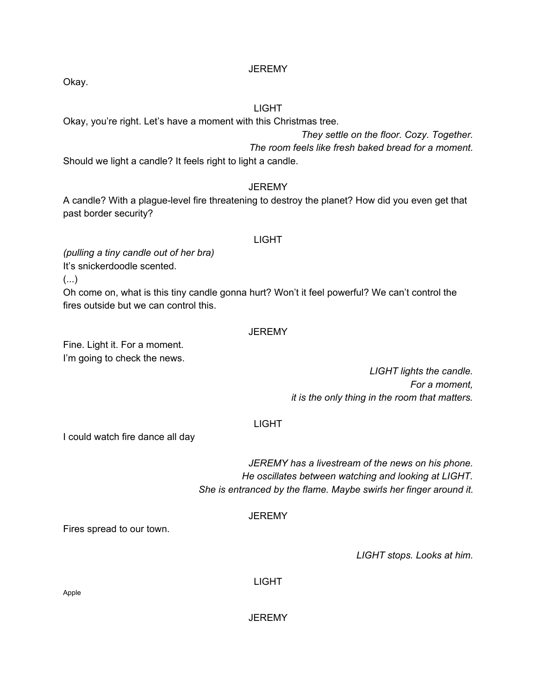Okay.

### LIGHT

Okay, you're right. Let's have a moment with this Christmas tree.

*They settle on the floor. Cozy. Together. The room feels like fresh baked bread for a moment.*

Should we light a candle? It feels right to light a candle.

### **JEREMY**

A candle? With a plague-level fire threatening to destroy the planet? How did you even get that past border security?

#### LIGHT

*(pulling a tiny candle out of her bra)*

It's snickerdoodle scented.

(...)

Oh come on, what is this tiny candle gonna hurt? Won't it feel powerful? We can't control the fires outside but we can control this.

#### **JEREMY**

Fine. Light it. For a moment. I'm going to check the news.

> *LIGHT lights the candle. For a moment, it is the only thing in the room that matters.*

### LIGHT

I could watch fire dance all day

*JEREMY has a livestream of the news on his phone. He oscillates between watching and looking at LIGHT. She is entranced by the flame. Maybe swirls her finger around it.*

### **JEREMY**

Fires spread to our town.

*LIGHT stops. Looks at him.*

LIGHT

Apple

**JEREMY**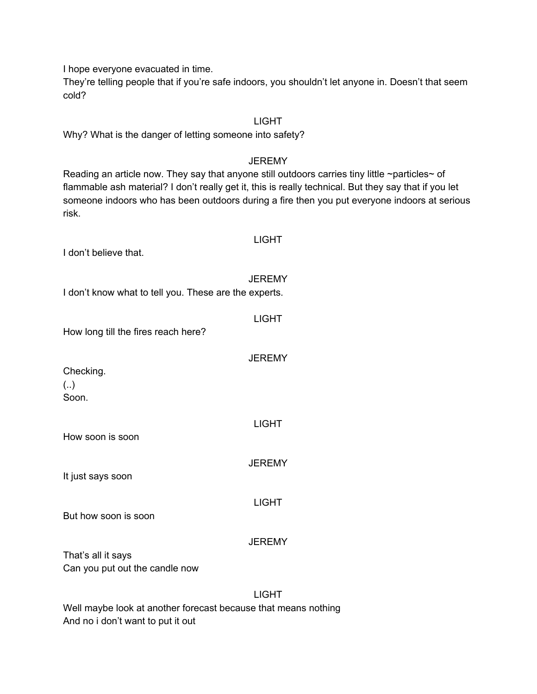I hope everyone evacuated in time.

They're telling people that if you're safe indoors, you shouldn't let anyone in. Doesn't that seem cold?

#### LIGHT

Why? What is the danger of letting someone into safety?

#### **JEREMY**

Reading an article now. They say that anyone still outdoors carries tiny little ~particles~ of flammable ash material? I don't really get it, this is really technical. But they say that if you let someone indoors who has been outdoors during a fire then you put everyone indoors at serious risk.

LIGHT

I don't believe that.

### **JEREMY**

LIGHT

**JEREMY** 

LIGHT

**JEREMY** 

I don't know what to tell you. These are the experts.

How long till the fires reach here?

Checking. (..) Soon.

How soon is soon

It just says soon

LIGHT

But how soon is soon

### **JEREMY**

That's all it says Can you put out the candle now

LIGHT

Well maybe look at another forecast because that means nothing And no i don't want to put it out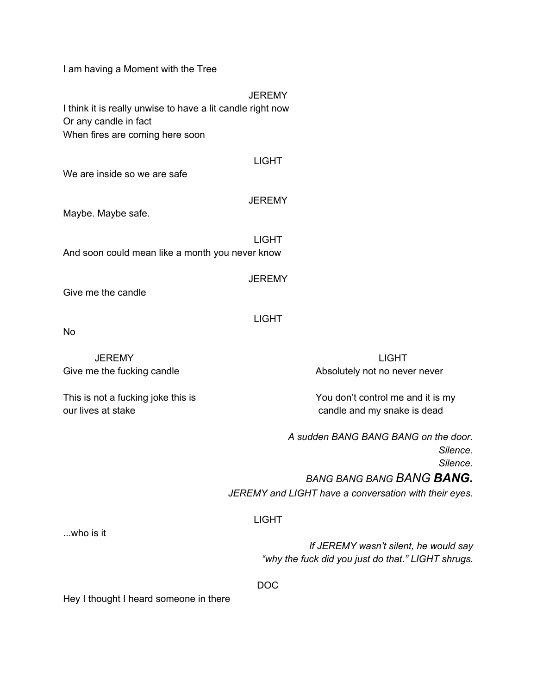I am having a Moment with the Tree

**JEREMY** I think it is really unwise to have a lit candle right now Or any candle in fact When fires are coming here soon

We are inside so we are safe

**JEREMY** 

LIGHT

Maybe. Maybe safe.

LIGHT And soon could mean like a month you never know

**JEREMY** 

LIGHT

Give me the candle

No

our lives at stake candle and my snake is dead

JEREMY LIGHT Give me the fucking candle **Absolutely** not no never never

This is not a fucking joke this is **You don't control me and it is my** 

*A sudden BANG BANG BANG on the door. Silence. Silence. BANG BANG BANG BANG BANG.*

*JEREMY and LIGHT have a conversation with their eyes.*

### LIGHT

...who is it

*If JEREMY wasn't silent, he would say "why the fuck did you just do that." LIGHT shrugs.*

DOC

Hey I thought I heard someone in there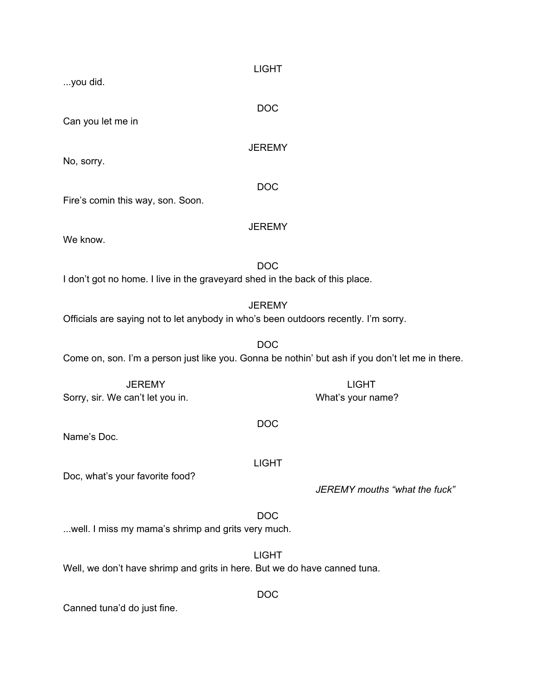LIGHT ...you did. DOC Can you let me in **JEREMY** No, sorry. DOC Fire's comin this way, son. Soon. **JEREMY** We know. DOC I don't got no home. I live in the graveyard shed in the back of this place. **JEREMY** Officials are saying not to let anybody in who's been outdoors recently. I'm sorry. DOC Come on, son. I'm a person just like you. Gonna be nothin' but ash if you don't let me in there. JEREMY LIGHT Sorry, sir. We can't let you in. The same of the source what's your name? DOC Name's Doc. LIGHT Doc, what's your favorite food? *JEREMY mouths "what the fuck"* DOC ...well. I miss my mama's shrimp and grits very much. LIGHT Well, we don't have shrimp and grits in here. But we do have canned tuna. DOC

Canned tuna'd do just fine.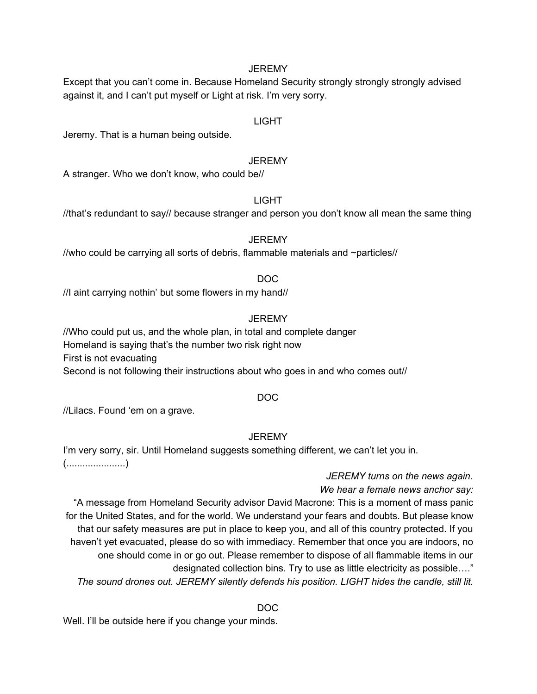Except that you can't come in. Because Homeland Security strongly strongly strongly advised against it, and I can't put myself or Light at risk. I'm very sorry.

### LIGHT

Jeremy. That is a human being outside.

#### **JEREMY**

A stranger. Who we don't know, who could be//

#### LIGHT

//that's redundant to say// because stranger and person you don't know all mean the same thing

#### **JEREMY**

//who could be carrying all sorts of debris, flammable materials and ~particles//

### DOC

//I aint carrying nothin' but some flowers in my hand//

### **JEREMY**

//Who could put us, and the whole plan, in total and complete danger Homeland is saying that's the number two risk right now First is not evacuating Second is not following their instructions about who goes in and who comes out//

### DOC

//Lilacs. Found 'em on a grave.

### **JEREMY**

I'm very sorry, sir. Until Homeland suggests something different, we can't let you in. (......................)

# *JEREMY turns on the news again.*

*We hear a female news anchor say:*

"A message from Homeland Security advisor David Macrone: This is a moment of mass panic for the United States, and for the world. We understand your fears and doubts. But please know that our safety measures are put in place to keep you, and all of this country protected. If you haven't yet evacuated, please do so with immediacy. Remember that once you are indoors, no one should come in or go out. Please remember to dispose of all flammable items in our designated collection bins. Try to use as little electricity as possible…."

*The sound drones out. JEREMY silently defends his position. LIGHT hides the candle, still lit.*

DOC

Well. I'll be outside here if you change your minds.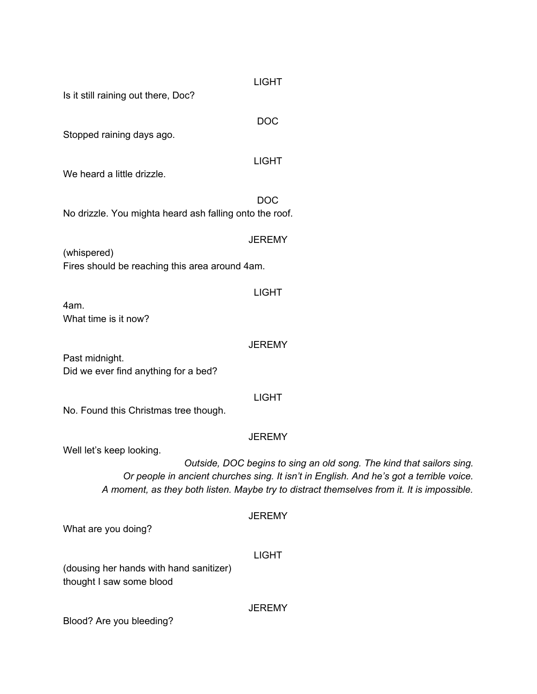| <b>LIGHT</b><br>Is it still raining out there, Doc?                                                                                                                                                                                                                                       |
|-------------------------------------------------------------------------------------------------------------------------------------------------------------------------------------------------------------------------------------------------------------------------------------------|
| <b>DOC</b>                                                                                                                                                                                                                                                                                |
| Stopped raining days ago.                                                                                                                                                                                                                                                                 |
| <b>LIGHT</b><br>We heard a little drizzle.                                                                                                                                                                                                                                                |
| <b>DOC</b><br>No drizzle. You mighta heard ash falling onto the roof.                                                                                                                                                                                                                     |
| <b>JEREMY</b>                                                                                                                                                                                                                                                                             |
| (whispered)<br>Fires should be reaching this area around 4am.                                                                                                                                                                                                                             |
| <b>LIGHT</b>                                                                                                                                                                                                                                                                              |
| 4am.<br>What time is it now?                                                                                                                                                                                                                                                              |
| <b>JEREMY</b><br>Past midnight.                                                                                                                                                                                                                                                           |
| Did we ever find anything for a bed?                                                                                                                                                                                                                                                      |
| <b>LIGHT</b><br>No. Found this Christmas tree though.                                                                                                                                                                                                                                     |
| <b>JEREMY</b>                                                                                                                                                                                                                                                                             |
| Well let's keep looking.<br>Outside, DOC begins to sing an old song. The kind that sailors sing.<br>Or people in ancient churches sing. It isn't in English. And he's got a terrible voice.<br>A moment, as they both listen. Maybe try to distract themselves from it. It is impossible. |
| <b>JEREMY</b><br>What are you doing?                                                                                                                                                                                                                                                      |
| <b>LIGHT</b>                                                                                                                                                                                                                                                                              |
| (dousing her hands with hand sanitizer)<br>thought I saw some blood                                                                                                                                                                                                                       |

Blood? Are you bleeding?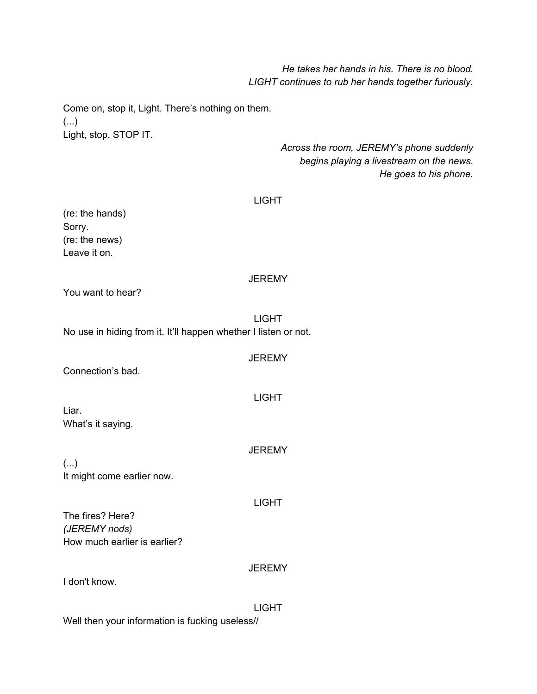*He takes her hands in his. There is no blood. LIGHT continues to rub her hands together furiously.*

Come on, stop it, Light. There's nothing on them. (...) Light, stop. STOP IT.

> *Across the room, JEREMY's phone suddenly begins playing a livestream on the news. He goes to his phone.*

#### LIGHT

(re: the hands) Sorry. (re: the news) Leave it on.

#### **JEREMY**

You want to hear?

LIGHT No use in hiding from it. It'll happen whether I listen or not.

**JEREMY** 

Connection's bad.

Liar. What's it saying.

(...) It might come earlier now.

LIGHT

LIGHT

**JEREMY** 

The fires? Here? *(JEREMY nods)* How much earlier is earlier?

#### **JEREMY**

I don't know.

LIGHT

Well then your information is fucking useless//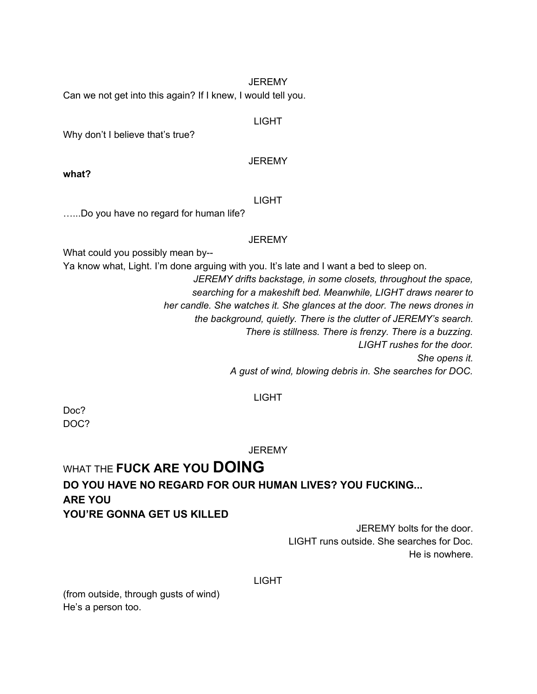Can we not get into this again? If I knew, I would tell you.

#### LIGHT

Why don't I believe that's true?

**JEREMY** 

**what?**

#### LIGHT

…...Do you have no regard for human life?

#### JEREMY

What could you possibly mean by--

Ya know what, Light. I'm done arguing with you. It's late and I want a bed to sleep on.

*JEREMY drifts backstage, in some closets, throughout the space, searching for a makeshift bed. Meanwhile, LIGHT draws nearer to her candle. She watches it. She glances at the door. The news drones in the background, quietly. There is the clutter of JEREMY's search. There is stillness. There is frenzy. There is a buzzing. LIGHT rushes for the door.*

*She opens it.*

*A gust of wind, blowing debris in. She searches for DOC.*

#### LIGHT

Doc? DOC?

**JEREMY** 

# WHAT THE **FUCK ARE YOU DOING DO YOU HAVE NO REGARD FOR OUR HUMAN LIVES? YOU FUCKING... ARE YOU YOU'RE GONNA GET US KILLED**

JEREMY bolts for the door. LIGHT runs outside. She searches for Doc. He is nowhere.

LIGHT

(from outside, through gusts of wind) He's a person too.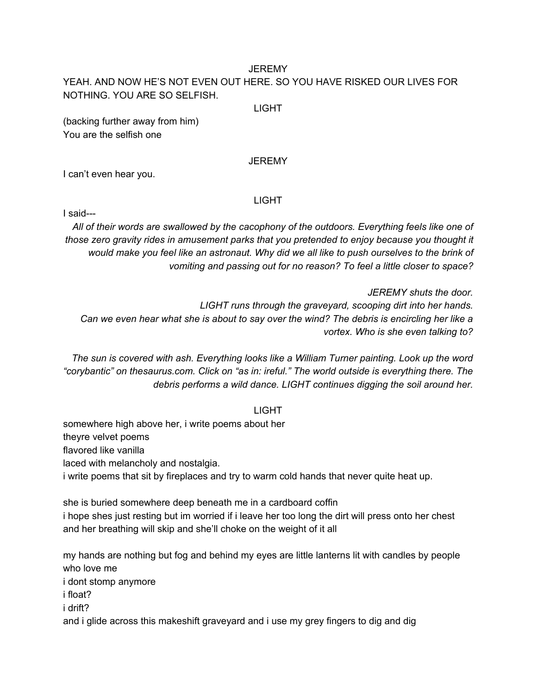# YEAH. AND NOW HE'S NOT EVEN OUT HERE. SO YOU HAVE RISKED OUR LIVES FOR NOTHING. YOU ARE SO SELFISH.

#### LIGHT

(backing further away from him) You are the selfish one

### **JEREMY**

I can't even hear you.

### LIGHT

I said---

*All of their words are swallowed by the cacophony of the outdoors. Everything feels like one of those zero gravity rides in amusement parks that you pretended to enjoy because you thought it* would make you feel like an astronaut. Why did we all like to push ourselves to the brink of *vomiting and passing out for no reason? To feel a little closer to space?*

*JEREMY shuts the door. LIGHT runs through the graveyard, scooping dirt into her hands.* Can we even hear what she is about to say over the wind? The debris is encircling her like a *vortex. Who is she even talking to?*

*The sun is covered with ash. Everything looks like a William Turner painting. Look up the word "corybantic" on thesaurus.com. Click on "as in: ireful." The world outside is everything there. The debris performs a wild dance. LIGHT continues digging the soil around her.*

#### LIGHT

somewhere high above her, i write poems about her theyre velvet poems flavored like vanilla laced with melancholy and nostalgia. i write poems that sit by fireplaces and try to warm cold hands that never quite heat up.

she is buried somewhere deep beneath me in a cardboard coffin i hope shes just resting but im worried if i leave her too long the dirt will press onto her chest and her breathing will skip and she'll choke on the weight of it all

my hands are nothing but fog and behind my eyes are little lanterns lit with candles by people who love me i dont stomp anymore i float? i drift? and i glide across this makeshift graveyard and i use my grey fingers to dig and dig